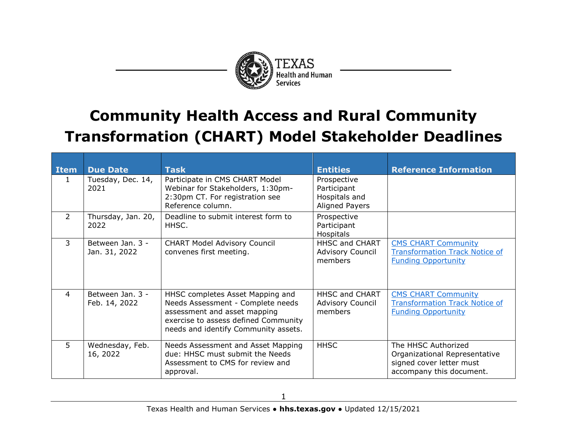

## **Community Health Access and Rural Community Transformation (CHART) Model Stakeholder Deadlines**

| <b>Item</b>    | <b>Due Date</b>                   | <b>Task</b>                                                                                                                                                                           | <b>Entities</b>                                                      | <b>Reference Information</b>                                                                                 |
|----------------|-----------------------------------|---------------------------------------------------------------------------------------------------------------------------------------------------------------------------------------|----------------------------------------------------------------------|--------------------------------------------------------------------------------------------------------------|
| 1              | Tuesday, Dec. 14,<br>2021         | Participate in CMS CHART Model<br>Webinar for Stakeholders, 1:30pm-<br>2:30pm CT. For registration see<br>Reference column.                                                           | Prospective<br>Participant<br>Hospitals and<br><b>Aligned Payers</b> |                                                                                                              |
| $\overline{2}$ | Thursday, Jan. 20,<br>2022        | Deadline to submit interest form to<br>HHSC.                                                                                                                                          | Prospective<br>Participant<br>Hospitals                              |                                                                                                              |
| 3              | Between Jan. 3 -<br>Jan. 31, 2022 | <b>CHART Model Advisory Council</b><br>convenes first meeting.                                                                                                                        | <b>HHSC and CHART</b><br><b>Advisory Council</b><br>members          | <b>CMS CHART Community</b><br><b>Transformation Track Notice of</b><br><b>Funding Opportunity</b>            |
| 4              | Between Jan. 3 -<br>Feb. 14, 2022 | HHSC completes Asset Mapping and<br>Needs Assessment - Complete needs<br>assessment and asset mapping<br>exercise to assess defined Community<br>needs and identify Community assets. | HHSC and CHART<br><b>Advisory Council</b><br>members                 | <b>CMS CHART Community</b><br><b>Transformation Track Notice of</b><br><b>Funding Opportunity</b>            |
| 5.             | Wednesday, Feb.<br>16, 2022       | Needs Assessment and Asset Mapping<br>due: HHSC must submit the Needs<br>Assessment to CMS for review and<br>approval.                                                                | <b>HHSC</b>                                                          | The HHSC Authorized<br>Organizational Representative<br>signed cover letter must<br>accompany this document. |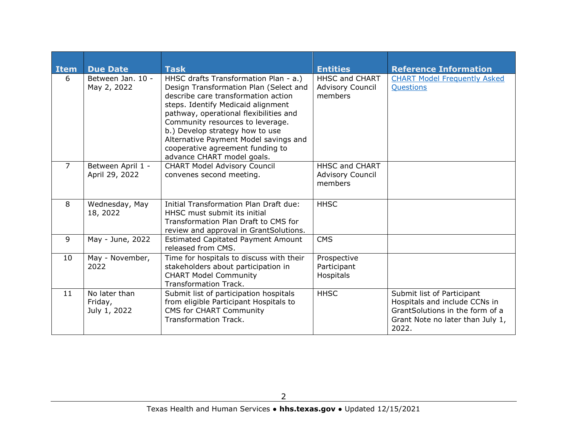| <b>Item</b>    | <b>Due Date</b>                          | <b>Task</b>                                                                                                                                                                                                                                                                                                                                                                              | <b>Entities</b>                                             | <b>Reference Information</b>                                                                                                                |
|----------------|------------------------------------------|------------------------------------------------------------------------------------------------------------------------------------------------------------------------------------------------------------------------------------------------------------------------------------------------------------------------------------------------------------------------------------------|-------------------------------------------------------------|---------------------------------------------------------------------------------------------------------------------------------------------|
| 6              | Between Jan. 10 -<br>May 2, 2022         | HHSC drafts Transformation Plan - a.)<br>Design Transformation Plan (Select and<br>describe care transformation action<br>steps. Identify Medicaid alignment<br>pathway, operational flexibilities and<br>Community resources to leverage.<br>b.) Develop strategy how to use<br>Alternative Payment Model savings and<br>cooperative agreement funding to<br>advance CHART model goals. | <b>HHSC and CHART</b><br><b>Advisory Council</b><br>members | <b>CHART Model Frequently Asked</b><br>Questions                                                                                            |
| $\overline{7}$ | Between April 1 -<br>April 29, 2022      | <b>CHART Model Advisory Council</b><br>convenes second meeting.                                                                                                                                                                                                                                                                                                                          | <b>HHSC and CHART</b><br><b>Advisory Council</b><br>members |                                                                                                                                             |
| 8              | Wednesday, May<br>18, 2022               | Initial Transformation Plan Draft due:<br>HHSC must submit its initial<br>Transformation Plan Draft to CMS for<br>review and approval in GrantSolutions.                                                                                                                                                                                                                                 | <b>HHSC</b>                                                 |                                                                                                                                             |
| 9              | May - June, 2022                         | <b>Estimated Capitated Payment Amount</b><br>released from CMS.                                                                                                                                                                                                                                                                                                                          | <b>CMS</b>                                                  |                                                                                                                                             |
| 10             | May - November,<br>2022                  | Time for hospitals to discuss with their<br>stakeholders about participation in<br><b>CHART Model Community</b><br>Transformation Track.                                                                                                                                                                                                                                                 | Prospective<br>Participant<br>Hospitals                     |                                                                                                                                             |
| 11             | No later than<br>Friday,<br>July 1, 2022 | Submit list of participation hospitals<br>from eligible Participant Hospitals to<br><b>CMS for CHART Community</b><br><b>Transformation Track.</b>                                                                                                                                                                                                                                       | <b>HHSC</b>                                                 | Submit list of Participant<br>Hospitals and include CCNs in<br>GrantSolutions in the form of a<br>Grant Note no later than July 1,<br>2022. |